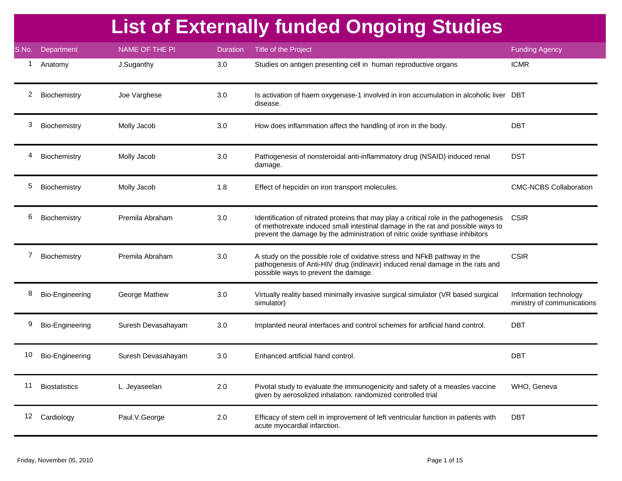|       |                      |                    |                 | <b>List of Externally funded Ongoing Studies</b>                                                                                                                                                                                                         |                                                      |
|-------|----------------------|--------------------|-----------------|----------------------------------------------------------------------------------------------------------------------------------------------------------------------------------------------------------------------------------------------------------|------------------------------------------------------|
| S.No. | Department           | NAME OF THE PI     | <b>Duration</b> | Title of the Project                                                                                                                                                                                                                                     | <b>Funding Agency</b>                                |
| 1     | Anatomy              | J.Suganthy         | 3.0             | Studies on antigen presenting cell in human reproductive organs                                                                                                                                                                                          | <b>ICMR</b>                                          |
| 2     | Biochemistry         | Joe Varghese       | 3.0             | Is activation of haem oxygenase-1 involved in iron accumulation in alcoholic liver DBT<br>disease.                                                                                                                                                       |                                                      |
| 3     | Biochemistry         | Molly Jacob        | 3.0             | How does inflammation affect the handling of iron in the body.                                                                                                                                                                                           | <b>DBT</b>                                           |
| 4     | Biochemistry         | Molly Jacob        | 3.0             | Pathogenesis of nonsteroidal anti-inflammatory drug (NSAID) induced renal<br>damage.                                                                                                                                                                     | <b>DST</b>                                           |
| 5     | Biochemistry         | Molly Jacob        | 1.8             | Effect of hepcidin on iron transport molecules.                                                                                                                                                                                                          | <b>CMC-NCBS Collaboration</b>                        |
| 6     | Biochemistry         | Premila Abraham    | 3.0             | Identification of nitrated proteins that may play a critical role in the pathogenesis<br>of methotrexate induced small intestinal damage in the rat and possible ways to<br>prevent the damage by the administration of nitric oxide synthase inhibitors | <b>CSIR</b>                                          |
| 7     | Biochemistry         | Premila Abraham    | 3.0             | A study on the possible role of oxidative stress and NFkB pathway in the<br>pathogenesis of Anti-HIV drug (indinavir) induced renal damage in the rats and<br>possible ways to prevent the damage.                                                       | <b>CSIR</b>                                          |
| 8     | Bio-Engineering      | George Mathew      | 3.0             | Virtually reality based minimally invasive surgical simulator (VR based surgical<br>simulator)                                                                                                                                                           | Information technology<br>ministry of communications |
| 9     | Bio-Engineering      | Suresh Devasahayam | 3.0             | Implanted neural interfaces and control schemes for artificial hand control.                                                                                                                                                                             | <b>DBT</b>                                           |
| 10    | Bio-Engineering      | Suresh Devasahayam | 3.0             | Enhanced artificial hand control.                                                                                                                                                                                                                        | <b>DBT</b>                                           |
| 11    | <b>Biostatistics</b> | L. Jeyaseelan      | 2.0             | Pivotal study to evaluate the immunogenicity and safety of a measles vaccine<br>given by aerosolized inhalation: randomized controlled trial                                                                                                             | WHO, Geneva                                          |
|       | 12 Cardiology        | Paul.V.George      | 2.0             | Efficacy of stem cell in improvement of left ventricular function in patients with<br>acute myocardial infarction.                                                                                                                                       | <b>DBT</b>                                           |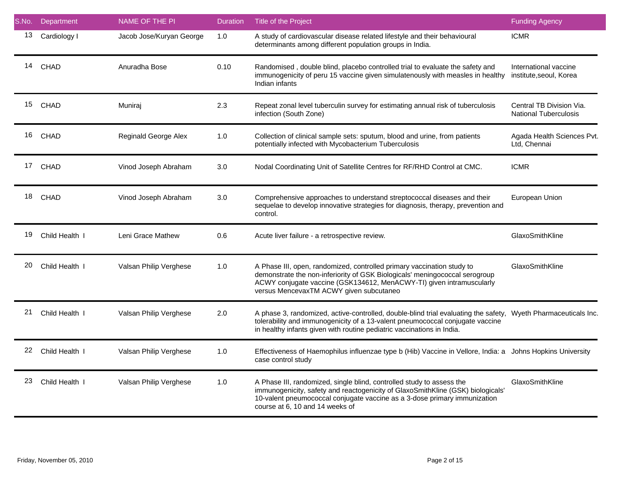| S.No. | Department     | <b>NAME OF THE PI</b>    | <b>Duration</b> | Title of the Project                                                                                                                                                                                                                                                      | <b>Funding Agency</b>                                    |
|-------|----------------|--------------------------|-----------------|---------------------------------------------------------------------------------------------------------------------------------------------------------------------------------------------------------------------------------------------------------------------------|----------------------------------------------------------|
| 13    | Cardiology I   | Jacob Jose/Kuryan George | 1.0             | A study of cardiovascular disease related lifestyle and their behavioural<br>determinants among different population groups in India.                                                                                                                                     | <b>ICMR</b>                                              |
|       | 14 CHAD        | Anuradha Bose            | 0.10            | Randomised, double blind, placebo controlled trial to evaluate the safety and<br>immunogenicity of peru 15 vaccine given simulatenously with measles in healthy<br>Indian infants                                                                                         | International vaccine<br>institute, seoul, Korea         |
|       | 15 CHAD        | Muniraj                  | 2.3             | Repeat zonal level tuberculin survey for estimating annual risk of tuberculosis<br>infection (South Zone)                                                                                                                                                                 | Central TB Division Via.<br><b>National Tuberculosis</b> |
|       | 16 CHAD        | Reginald George Alex     | 1.0             | Collection of clinical sample sets: sputum, blood and urine, from patients<br>potentially infected with Mycobacterium Tuberculosis                                                                                                                                        | Agada Health Sciences Pvt.<br>Ltd, Chennai               |
|       | 17 CHAD        | Vinod Joseph Abraham     | 3.0             | Nodal Coordinating Unit of Satellite Centres for RF/RHD Control at CMC.                                                                                                                                                                                                   | <b>ICMR</b>                                              |
|       | 18 CHAD        | Vinod Joseph Abraham     | 3.0             | Comprehensive approaches to understand streptococcal diseases and their<br>sequelae to develop innovative strategies for diagnosis, therapy, prevention and<br>control.                                                                                                   | European Union                                           |
| 19    | Child Health I | Leni Grace Mathew        | 0.6             | Acute liver failure - a retrospective review.                                                                                                                                                                                                                             | GlaxoSmithKline                                          |
| 20    | Child Health I | Valsan Philip Verghese   | 1.0             | A Phase III, open, randomized, controlled primary vaccination study to<br>demonstrate the non-inferiority of GSK Biologicals' meningococcal serogroup<br>ACWY conjugate vaccine (GSK134612, MenACWY-TI) given intramuscularly<br>versus MencevaxTM ACWY given subcutaneo  | GlaxoSmithKline                                          |
| 21    | Child Health I | Valsan Philip Verghese   | 2.0             | A phase 3, randomized, active-controlled, double-blind trial evaluating the safety, Wyeth Pharmaceuticals Inc.<br>tolerability and immunogenicity of a 13-valent pneumococcal conjugate vaccine<br>in healthy infants given with routine pediatric vaccinations in India. |                                                          |
| 22    | Child Health I | Valsan Philip Verghese   | 1.0             | Effectiveness of Haemophilus influenzae type b (Hib) Vaccine in Vellore, India: a Johns Hopkins University<br>case control study                                                                                                                                          |                                                          |
| 23    | Child Health I | Valsan Philip Verghese   | 1.0             | A Phase III, randomized, single blind, controlled study to assess the<br>immunogenicity, safety and reactogenicity of GlaxoSmithKline (GSK) biologicals'<br>10-valent pneumococcal conjugate vaccine as a 3-dose primary immunization<br>course at 6, 10 and 14 weeks of  | GlaxoSmithKline                                          |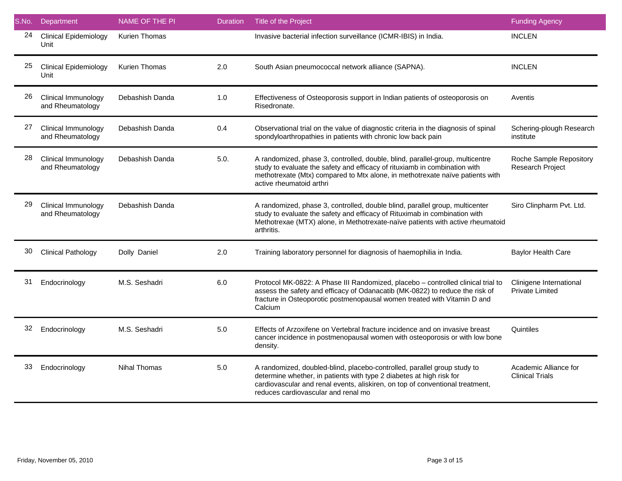| S.No. | Department                              | NAME OF THE PI       | <b>Duration</b> | Title of the Project                                                                                                                                                                                                                                                     | <b>Funding Agency</b>                           |
|-------|-----------------------------------------|----------------------|-----------------|--------------------------------------------------------------------------------------------------------------------------------------------------------------------------------------------------------------------------------------------------------------------------|-------------------------------------------------|
| 24    | <b>Clinical Epidemiology</b><br>Unit    | <b>Kurien Thomas</b> |                 | Invasive bacterial infection surveillance (ICMR-IBIS) in India.                                                                                                                                                                                                          | <b>INCLEN</b>                                   |
| 25    | <b>Clinical Epidemiology</b><br>Unit    | Kurien Thomas        | 2.0             | South Asian pneumococcal network alliance (SAPNA).                                                                                                                                                                                                                       | <b>INCLEN</b>                                   |
| 26    | Clinical Immunology<br>and Rheumatology | Debashish Danda      | 1.0             | Effectiveness of Osteoporosis support in Indian patients of osteoporosis on<br>Risedronate.                                                                                                                                                                              | Aventis                                         |
| 27    | Clinical Immunology<br>and Rheumatology | Debashish Danda      | 0.4             | Observational trial on the value of diagnostic criteria in the diagnosis of spinal<br>spondyloarthropathies in patients with chronic low back pain                                                                                                                       | Schering-plough Research<br>institute           |
| 28    | Clinical Immunology<br>and Rheumatology | Debashish Danda      | 5.0.            | A randomized, phase 3, controlled, double, blind, parallel-group, multicentre<br>study to evaluate the safety and efficacy of rituxiamb in combination with<br>methotrexate (Mtx) compared to Mtx alone, in methotrexate naïve patients with<br>active rheumatoid arthri | Roche Sample Repository<br>Research Project     |
| 29    | Clinical Immunology<br>and Rheumatology | Debashish Danda      |                 | A randomized, phase 3, controlled, double blind, parallel group, multicenter<br>study to evaluate the safety and efficacy of Rituximab in combination with<br>Methotrexae (MTX) alone, in Methotrexate-naïve patients with active rheumatoid<br>arthritis.               | Siro Clinpharm Pvt. Ltd.                        |
| 30    | <b>Clinical Pathology</b>               | Dolly Daniel         | 2.0             | Training laboratory personnel for diagnosis of haemophilia in India.                                                                                                                                                                                                     | Baylor Health Care                              |
| 31    | Endocrinology                           | M.S. Seshadri        | 6.0             | Protocol MK-0822: A Phase III Randomized, placebo - controlled clinical trial to<br>assess the safety and efficacy of Odanacatib (MK-0822) to reduce the risk of<br>fracture in Osteoporotic postmenopausal women treated with Vitamin D and<br>Calcium                  | Clinigene International<br>Private Limited      |
| 32    | Endocrinology                           | M.S. Seshadri        | 5.0             | Effects of Arzoxifene on Vertebral fracture incidence and on invasive breast<br>cancer incidence in postmenopausal women with osteoporosis or with low bone<br>density.                                                                                                  | Quintiles                                       |
| 33    | Endocrinology                           | <b>Nihal Thomas</b>  | 5.0             | A randomized, doubled-blind, placebo-controlled, parallel group study to<br>determine whether, in patients with type 2 diabetes at high risk for<br>cardiovascular and renal events, aliskiren, on top of conventional treatment,<br>reduces cardiovascular and renal mo | Academic Alliance for<br><b>Clinical Trials</b> |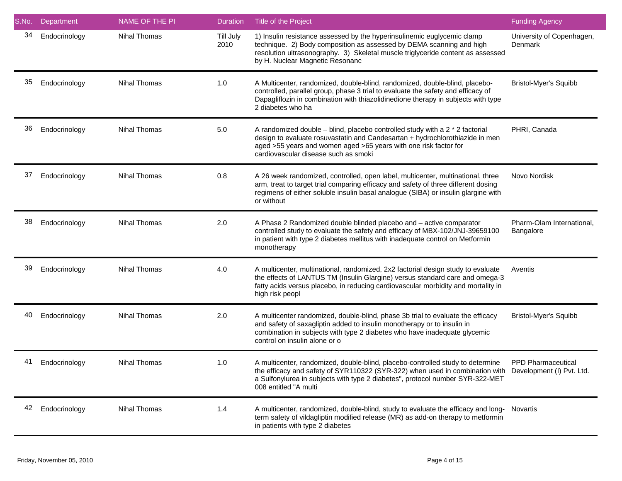| S.No. | Department    | NAME OF THE PI      | <b>Duration</b>   | <b>Title of the Project</b>                                                                                                                                                                                                                                                                        | <b>Funding Agency</b>                  |
|-------|---------------|---------------------|-------------------|----------------------------------------------------------------------------------------------------------------------------------------------------------------------------------------------------------------------------------------------------------------------------------------------------|----------------------------------------|
| 34    | Endocrinology | <b>Nihal Thomas</b> | Till July<br>2010 | 1) Insulin resistance assessed by the hyperinsulinemic euglycemic clamp<br>technique. 2) Body composition as assessed by DEMA scanning and high<br>resolution ultrasonography. 3) Skeletal muscle triglyceride content as assessed<br>by H. Nuclear Magnetic Resonanc                              | University of Copenhagen,<br>Denmark   |
| 35    | Endocrinology | <b>Nihal Thomas</b> | 1.0               | A Multicenter, randomized, double-blind, randomized, double-blind, placebo-<br>controlled, parallel group, phase 3 trial to evaluate the safety and efficacy of<br>Dapagliflozin in combination with thiazolidinedione therapy in subjects with type<br>2 diabetes who ha                          | Bristol-Myer's Squibb                  |
| 36    | Endocrinology | Nihal Thomas        | 5.0               | A randomized double $-$ blind, placebo controlled study with a 2 $*$ 2 factorial<br>design to evaluate rosuvastatin and Candesartan + hydrochlorothiazide in men<br>aged >55 years and women aged >65 years with one risk factor for<br>cardiovascular disease such as smoki                       | PHRI, Canada                           |
| 37    | Endocrinology | <b>Nihal Thomas</b> | 0.8               | A 26 week randomized, controlled, open label, multicenter, multinational, three<br>arm, treat to target trial comparing efficacy and safety of three different dosing<br>regimens of either soluble insulin basal analogue (SIBA) or insulin glargine with<br>or without                           | Novo Nordisk                           |
| 38    | Endocrinology | <b>Nihal Thomas</b> | 2.0               | A Phase 2 Randomized double blinded placebo and - active comparator<br>controlled study to evaluate the safety and efficacy of MBX-102/JNJ-39659100<br>in patient with type 2 diabetes mellitus with inadequate control on Metformin<br>monotherapy                                                | Pharm-Olam International,<br>Bangalore |
| 39    | Endocrinology | Nihal Thomas        | 4.0               | A multicenter, multinational, randomized, 2x2 factorial design study to evaluate<br>the effects of LANTUS TM (Insulin Glargine) versus standard care and omega-3<br>fatty acids versus placebo, in reducing cardiovascular morbidity and mortality in<br>high risk peopl                           | Aventis                                |
| 40    | Endocrinology | <b>Nihal Thomas</b> | 2.0               | A multicenter randomized, double-blind, phase 3b trial to evaluate the efficacy<br>and safety of saxagliptin added to insulin monotherapy or to insulin in<br>combination in subjects with type 2 diabetes who have inadequate glycemic<br>control on insulin alone or o                           | Bristol-Myer's Squibb                  |
| 41    | Endocrinology | Nihal Thomas        | 1.0               | A multicenter, randomized, double-blind, placebo-controlled study to determine<br>the efficacy and safety of SYR110322 (SYR-322) when used in combination with Development (I) Pvt. Ltd.<br>a Sulfonylurea in subjects with type 2 diabetes", protocol number SYR-322-MET<br>008 entitled "A multi | <b>PPD Pharmaceutical</b>              |
| 42    | Endocrinology | <b>Nihal Thomas</b> | 1.4               | A multicenter, randomized, double-blind, study to evaluate the efficacy and long-<br>term safety of vildagliptin modified release (MR) as add-on therapy to metformin<br>in patients with type 2 diabetes                                                                                          | Novartis                               |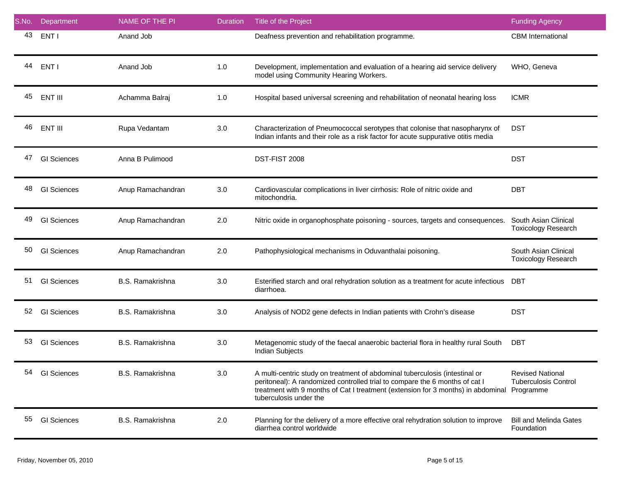| S.No. | Department         | NAME OF THE PI          | <b>Duration</b> | Title of the Project                                                                                                                                                                                                                                                     | <b>Funding Agency</b>                                               |
|-------|--------------------|-------------------------|-----------------|--------------------------------------------------------------------------------------------------------------------------------------------------------------------------------------------------------------------------------------------------------------------------|---------------------------------------------------------------------|
| 43    | ENT I              | Anand Job               |                 | Deafness prevention and rehabilitation programme.                                                                                                                                                                                                                        | <b>CBM</b> International                                            |
| 44    | ENT I              | Anand Job               | 1.0             | Development, implementation and evaluation of a hearing aid service delivery<br>model using Community Hearing Workers.                                                                                                                                                   | WHO, Geneva                                                         |
| 45    | ENT III            | Achamma Balraj          | 1.0             | Hospital based universal screening and rehabilitation of neonatal hearing loss                                                                                                                                                                                           | <b>ICMR</b>                                                         |
| 46    | ENT III            | Rupa Vedantam           | 3.0             | Characterization of Pneumococcal serotypes that colonise that nasopharynx of<br>Indian infants and their role as a risk factor for acute suppurative otitis media                                                                                                        | <b>DST</b>                                                          |
| 47    | <b>GI Sciences</b> | Anna B Pulimood         |                 | DST-FIST 2008                                                                                                                                                                                                                                                            | <b>DST</b>                                                          |
| 48    | <b>GI Sciences</b> | Anup Ramachandran       | 3.0             | Cardiovascular complications in liver cirrhosis: Role of nitric oxide and<br>mitochondria.                                                                                                                                                                               | <b>DBT</b>                                                          |
| 49    | <b>GI Sciences</b> | Anup Ramachandran       | 2.0             | Nitric oxide in organophosphate poisoning - sources, targets and consequences.                                                                                                                                                                                           | South Asian Clinical<br><b>Toxicology Research</b>                  |
| 50    | <b>GI Sciences</b> | Anup Ramachandran       | 2.0             | Pathophysiological mechanisms in Oduvanthalai poisoning.                                                                                                                                                                                                                 | South Asian Clinical<br><b>Toxicology Research</b>                  |
| 51    | <b>GI Sciences</b> | B.S. Ramakrishna        | 3.0             | Esterified starch and oral rehydration solution as a treatment for acute infectious<br>diarrhoea.                                                                                                                                                                        | DBT                                                                 |
| 52    | <b>GI Sciences</b> | <b>B.S. Ramakrishna</b> | 3.0             | Analysis of NOD2 gene defects in Indian patients with Crohn's disease                                                                                                                                                                                                    | <b>DST</b>                                                          |
| 53    | <b>GI Sciences</b> | <b>B.S. Ramakrishna</b> | 3.0             | Metagenomic study of the faecal anaerobic bacterial flora in healthy rural South<br>Indian Subjects                                                                                                                                                                      | DBT                                                                 |
| 54    | <b>GI Sciences</b> | <b>B.S. Ramakrishna</b> | 3.0             | A multi-centric study on treatment of abdominal tuberculosis (intestinal or<br>peritoneal): A randomized controlled trial to compare the 6 months of cat I<br>treatment with 9 months of Cat I treatment (extension for 3 months) in abdominal<br>tuberculosis under the | <b>Revised National</b><br><b>Tuberculosis Control</b><br>Programme |
| 55    | <b>GI Sciences</b> | <b>B.S. Ramakrishna</b> | 2.0             | Planning for the delivery of a more effective oral rehydration solution to improve<br>diarrhea control worldwide                                                                                                                                                         | <b>Bill and Melinda Gates</b><br>Foundation                         |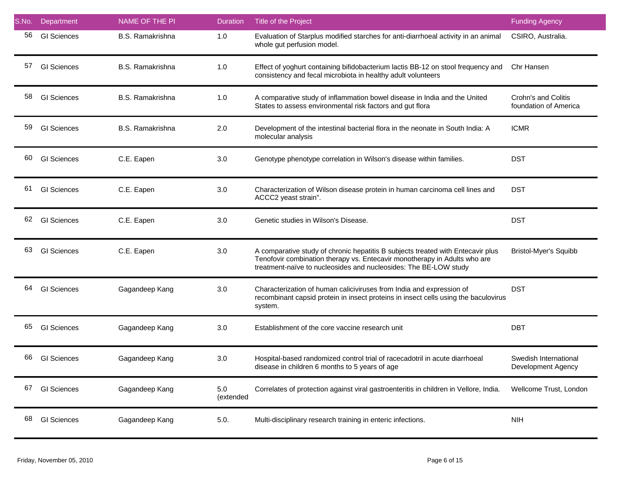| S.No. | Department         | NAME OF THE PI   | <b>Duration</b>  | Title of the Project                                                                                                                                                                                                             | <b>Funding Agency</b>                        |
|-------|--------------------|------------------|------------------|----------------------------------------------------------------------------------------------------------------------------------------------------------------------------------------------------------------------------------|----------------------------------------------|
| 56    | <b>GI Sciences</b> | B.S. Ramakrishna | 1.0              | Evaluation of Starplus modified starches for anti-diarrhoeal activity in an animal<br>whole gut perfusion model.                                                                                                                 | CSIRO, Australia.                            |
| 57    | <b>GI Sciences</b> | B.S. Ramakrishna | 1.0              | Effect of yoghurt containing bifidobacterium lactis BB-12 on stool frequency and<br>consistency and fecal microbiota in healthy adult volunteers                                                                                 | Chr Hansen                                   |
| 58    | <b>GI Sciences</b> | B.S. Ramakrishna | 1.0              | A comparative study of inflammation bowel disease in India and the United<br>States to assess environmental risk factors and gut flora                                                                                           | Crohn's and Colitis<br>foundation of America |
| 59    | <b>GI Sciences</b> | B.S. Ramakrishna | 2.0              | Development of the intestinal bacterial flora in the neonate in South India: A<br>molecular analysis                                                                                                                             | <b>ICMR</b>                                  |
| 60    | <b>GI Sciences</b> | C.E. Eapen       | 3.0              | Genotype phenotype correlation in Wilson's disease within families.                                                                                                                                                              | <b>DST</b>                                   |
| 61    | <b>GI Sciences</b> | C.E. Eapen       | 3.0              | Characterization of Wilson disease protein in human carcinoma cell lines and<br>ACCC2 yeast strain".                                                                                                                             | <b>DST</b>                                   |
| 62    | <b>GI Sciences</b> | C.E. Eapen       | 3.0              | Genetic studies in Wilson's Disease.                                                                                                                                                                                             | <b>DST</b>                                   |
| 63    | <b>GI Sciences</b> | C.E. Eapen       | 3.0              | A comparative study of chronic hepatitis B subjects treated with Entecavir plus<br>Tenofovir combination therapy vs. Entecavir monotherapy in Adults who are<br>treatment-naïve to nucleosides and nucleosides: The BE-LOW study | <b>Bristol-Myer's Squibb</b>                 |
| 64    | <b>GI Sciences</b> | Gagandeep Kang   | 3.0              | Characterization of human caliciviruses from India and expression of<br>recombinant capsid protein in insect proteins in insect cells using the baculovirus<br>system.                                                           | <b>DST</b>                                   |
| 65    | <b>GI</b> Sciences | Gagandeep Kang   | 3.0              | Establishment of the core vaccine research unit                                                                                                                                                                                  | <b>DBT</b>                                   |
| 66    | <b>GI Sciences</b> | Gagandeep Kang   | 3.0              | Hospital-based randomized control trial of racecadotril in acute diarrhoeal<br>disease in children 6 months to 5 years of age                                                                                                    | Swedish International<br>Development Agency  |
| 67    | <b>GI Sciences</b> | Gagandeep Kang   | 5.0<br>(extended | Correlates of protection against viral gastroenteritis in children in Vellore, India.                                                                                                                                            | Wellcome Trust, London                       |
| 68    | <b>GI Sciences</b> | Gagandeep Kang   | 5.0.             | Multi-disciplinary research training in enteric infections.                                                                                                                                                                      | NIH                                          |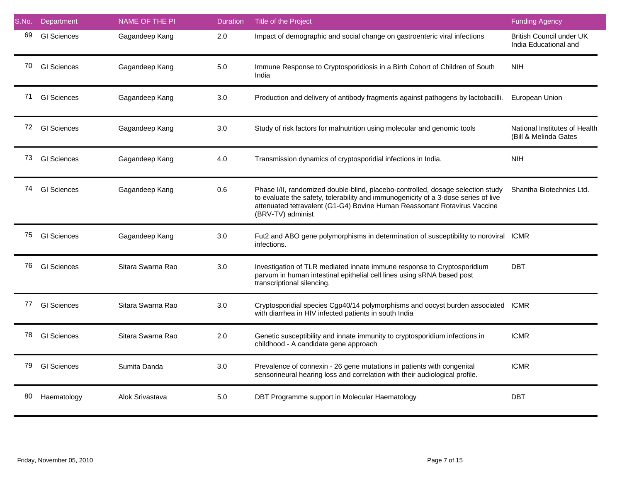| S.No. | Department         | NAME OF THE PI    | <b>Duration</b> | Title of the Project                                                                                                                                                                                                                                                    | <b>Funding Agency</b>                                    |
|-------|--------------------|-------------------|-----------------|-------------------------------------------------------------------------------------------------------------------------------------------------------------------------------------------------------------------------------------------------------------------------|----------------------------------------------------------|
| 69    | <b>GI</b> Sciences | Gagandeep Kang    | 2.0             | Impact of demographic and social change on gastroenteric viral infections                                                                                                                                                                                               | <b>British Council under UK</b><br>India Educational and |
| 70    | <b>GI</b> Sciences | Gagandeep Kang    | 5.0             | Immune Response to Cryptosporidiosis in a Birth Cohort of Children of South<br>India                                                                                                                                                                                    | <b>NIH</b>                                               |
| 71    | <b>GI</b> Sciences | Gagandeep Kang    | 3.0             | Production and delivery of antibody fragments against pathogens by lactobacilli.                                                                                                                                                                                        | European Union                                           |
|       | 72 GI Sciences     | Gagandeep Kang    | 3.0             | Study of risk factors for malnutrition using molecular and genomic tools                                                                                                                                                                                                | National Institutes of Health<br>(Bill & Melinda Gates   |
| 73    | <b>GI</b> Sciences | Gagandeep Kang    | 4.0             | Transmission dynamics of cryptosporidial infections in India.                                                                                                                                                                                                           | <b>NIH</b>                                               |
| 74    | <b>GI</b> Sciences | Gagandeep Kang    | 0.6             | Phase I/II, randomized double-blind, placebo-controlled, dosage selection study<br>to evaluate the safety, tolerability and immunogenicity of a 3-dose series of live<br>attenuated tetravalent (G1-G4) Bovine Human Reassortant Rotavirus Vaccine<br>(BRV-TV) administ | Shantha Biotechnics Ltd.                                 |
| 75    | <b>GI</b> Sciences | Gagandeep Kang    | 3.0             | Fut2 and ABO gene polymorphisms in determination of susceptibility to noroviral ICMR<br>infections.                                                                                                                                                                     |                                                          |
| 76    | <b>GI</b> Sciences | Sitara Swarna Rao | 3.0             | Investigation of TLR mediated innate immune response to Cryptosporidium<br>parvum in human intestinal epithelial cell lines using sRNA based post<br>transcriptional silencing.                                                                                         | DBT                                                      |
| 77    | <b>GI</b> Sciences | Sitara Swarna Rao | 3.0             | Cryptosporidial species Cgp40/14 polymorphisms and oocyst burden associated<br>with diarrhea in HIV infected patients in south India                                                                                                                                    | <b>ICMR</b>                                              |
| 78    | <b>GI</b> Sciences | Sitara Swarna Rao | 2.0             | Genetic susceptibility and innate immunity to cryptosporidium infections in<br>childhood - A candidate gene approach                                                                                                                                                    | <b>ICMR</b>                                              |
| 79    | <b>GI</b> Sciences | Sumita Danda      | 3.0             | Prevalence of connexin - 26 gene mutations in patients with congenital<br>sensorineural hearing loss and correlation with their audiological profile.                                                                                                                   | <b>ICMR</b>                                              |
| 80    | Haematology        | Alok Srivastava   | 5.0             | DBT Programme support in Molecular Haematology                                                                                                                                                                                                                          | <b>DBT</b>                                               |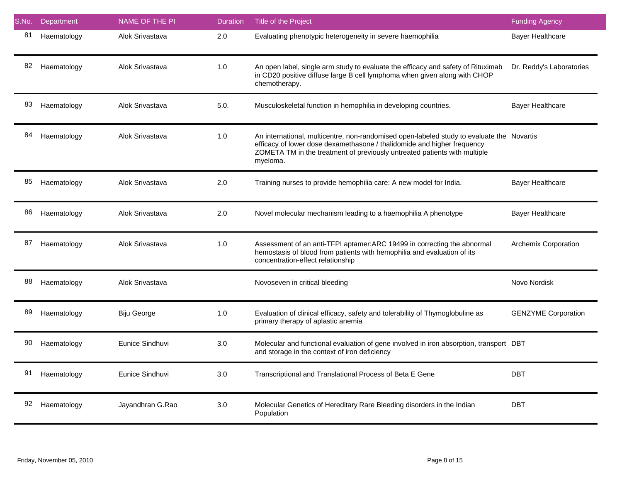| S.No. | Department  | NAME OF THE PI   | <b>Duration</b> | Title of the Project                                                                                                                                                                                                                                          | <b>Funding Agency</b>      |
|-------|-------------|------------------|-----------------|---------------------------------------------------------------------------------------------------------------------------------------------------------------------------------------------------------------------------------------------------------------|----------------------------|
| 81    | Haematology | Alok Srivastava  | 2.0             | Evaluating phenotypic heterogeneity in severe haemophilia                                                                                                                                                                                                     | <b>Bayer Healthcare</b>    |
| 82    | Haematology | Alok Srivastava  | 1.0             | An open label, single arm study to evaluate the efficacy and safety of Rituximab<br>in CD20 positive diffuse large B cell lymphoma when given along with CHOP<br>chemotherapy.                                                                                | Dr. Reddy's Laboratories   |
| 83    | Haematology | Alok Srivastava  | 5.0.            | Musculoskeletal function in hemophilia in developing countries.                                                                                                                                                                                               | <b>Bayer Healthcare</b>    |
| 84    | Haematology | Alok Srivastava  | 1.0             | An international, multicentre, non-randomised open-labeled study to evaluate the Novartis<br>efficacy of lower dose dexamethasone / thalidomide and higher frequency<br>ZOMETA TM in the treatment of previously untreated patients with multiple<br>myeloma. |                            |
| 85    | Haematology | Alok Srivastava  | 2.0             | Training nurses to provide hemophilia care: A new model for India.                                                                                                                                                                                            | <b>Bayer Healthcare</b>    |
| 86    | Haematology | Alok Srivastava  | 2.0             | Novel molecular mechanism leading to a haemophilia A phenotype                                                                                                                                                                                                | <b>Bayer Healthcare</b>    |
| 87    | Haematology | Alok Srivastava  | 1.0             | Assessment of an anti-TFPI aptamer:ARC 19499 in correcting the abnormal<br>hemostasis of blood from patients with hemophilia and evaluation of its<br>concentration-effect relationship                                                                       | Archemix Corporation       |
| 88    | Haematology | Alok Srivastava  |                 | Novoseven in critical bleeding                                                                                                                                                                                                                                | Novo Nordisk               |
| 89    | Haematology | Biju George      | 1.0             | Evaluation of clinical efficacy, safety and tolerability of Thymoglobuline as<br>primary therapy of aplastic anemia                                                                                                                                           | <b>GENZYME Corporation</b> |
| 90    | Haematology | Eunice Sindhuvi  | 3.0             | Molecular and functional evaluation of gene involved in iron absorption, transport DBT<br>and storage in the context of iron deficiency                                                                                                                       |                            |
| 91    | Haematology | Eunice Sindhuvi  | 3.0             | Transcriptional and Translational Process of Beta E Gene                                                                                                                                                                                                      | DBT                        |
| 92    | Haematology | Jayandhran G.Rao | 3.0             | Molecular Genetics of Hereditary Rare Bleeding disorders in the Indian<br>Population                                                                                                                                                                          | <b>DBT</b>                 |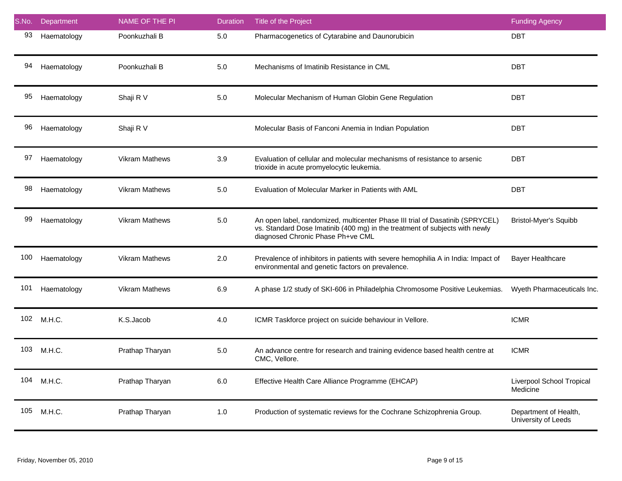| S.No. | Department  | NAME OF THE PI        | <b>Duration</b> | Title of the Project                                                                                                                                                                              | <b>Funding Agency</b>                        |
|-------|-------------|-----------------------|-----------------|---------------------------------------------------------------------------------------------------------------------------------------------------------------------------------------------------|----------------------------------------------|
| 93    | Haematology | Poonkuzhali B         | $5.0$           | Pharmacogenetics of Cytarabine and Daunorubicin                                                                                                                                                   | <b>DBT</b>                                   |
| 94    | Haematology | Poonkuzhali B         | $5.0$           | Mechanisms of Imatinib Resistance in CML                                                                                                                                                          | <b>DBT</b>                                   |
| 95    | Haematology | Shaji R V             | $5.0\,$         | Molecular Mechanism of Human Globin Gene Regulation                                                                                                                                               | <b>DBT</b>                                   |
| 96    | Haematology | Shaji R V             |                 | Molecular Basis of Fanconi Anemia in Indian Population                                                                                                                                            | <b>DBT</b>                                   |
| 97    | Haematology | <b>Vikram Mathews</b> | 3.9             | Evaluation of cellular and molecular mechanisms of resistance to arsenic<br>trioxide in acute promyelocytic leukemia.                                                                             | <b>DBT</b>                                   |
| 98    | Haematology | <b>Vikram Mathews</b> | 5.0             | Evaluation of Molecular Marker in Patients with AML                                                                                                                                               | <b>DBT</b>                                   |
| 99    | Haematology | <b>Vikram Mathews</b> | 5.0             | An open label, randomized, multicenter Phase III trial of Dasatinib (SPRYCEL)<br>vs. Standard Dose Imatinib (400 mg) in the treatment of subjects with newly<br>diagnosed Chronic Phase Ph+ve CML | <b>Bristol-Myer's Squibb</b>                 |
| 100   | Haematology | <b>Vikram Mathews</b> | 2.0             | Prevalence of inhibitors in patients with severe hemophilia A in India: Impact of<br>environmental and genetic factors on prevalence.                                                             | <b>Bayer Healthcare</b>                      |
| 101   | Haematology | <b>Vikram Mathews</b> | 6.9             | A phase 1/2 study of SKI-606 in Philadelphia Chromosome Positive Leukemias.                                                                                                                       | Wyeth Pharmaceuticals Inc.                   |
| 102   | M.H.C.      | K.S.Jacob             | 4.0             | ICMR Taskforce project on suicide behaviour in Vellore.                                                                                                                                           | <b>ICMR</b>                                  |
| 103   | M.H.C.      | Prathap Tharyan       | $5.0$           | An advance centre for research and training evidence based health centre at<br>CMC, Vellore.                                                                                                      | <b>ICMR</b>                                  |
| 104   | M.H.C.      | Prathap Tharyan       | 6.0             | Effective Health Care Alliance Programme (EHCAP)                                                                                                                                                  | Liverpool School Tropical<br>Medicine        |
| 105   | M.H.C.      | Prathap Tharyan       | $1.0$           | Production of systematic reviews for the Cochrane Schizophrenia Group.                                                                                                                            | Department of Health,<br>University of Leeds |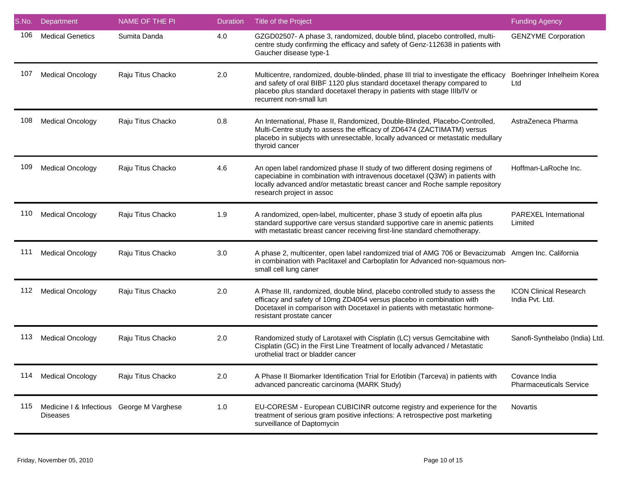| S.No. | Department                                                   | <b>NAME OF THE PI</b> | <b>Duration</b> | Title of the Project                                                                                                                                                                                                                                                     | <b>Funding Agency</b>                            |
|-------|--------------------------------------------------------------|-----------------------|-----------------|--------------------------------------------------------------------------------------------------------------------------------------------------------------------------------------------------------------------------------------------------------------------------|--------------------------------------------------|
| 106   | <b>Medical Genetics</b>                                      | Sumita Danda          | 4.0             | GZGD02507- A phase 3, randomized, double blind, placebo controlled, multi-<br>centre study confirming the efficacy and safety of Genz-112638 in patients with<br>Gaucher disease type-1                                                                                  | <b>GENZYME Corporation</b>                       |
| 107   | <b>Medical Oncology</b>                                      | Raju Titus Chacko     | 2.0             | Multicentre, randomized, double-blinded, phase III trial to investigate the efficacy<br>and safety of oral BIBF 1120 plus standard docetaxel therapy compared to<br>placebo plus standard docetaxel therapy in patients with stage IIIb/IV or<br>recurrent non-small lun | Boehringer Inhelheim Korea<br>Ltd                |
| 108   | <b>Medical Oncology</b>                                      | Raju Titus Chacko     | 0.8             | An International, Phase II, Randomized, Double-Blinded, Placebo-Controlled,<br>Multi-Centre study to assess the efficacy of ZD6474 (ZACTIMATM) versus<br>placebo in subjects with unresectable, locally advanced or metastatic medullary<br>thyroid cancer               | AstraZeneca Pharma                               |
| 109   | <b>Medical Oncology</b>                                      | Raju Titus Chacko     | 4.6             | An open label randomized phase II study of two different dosing regimens of<br>capeciabine in combination with intravenous docetaxel (Q3W) in patients with<br>locally advanced and/or metastatic breast cancer and Roche sample repository<br>research project in assoc | Hoffman-LaRoche Inc.                             |
| 110   | <b>Medical Oncology</b>                                      | Raju Titus Chacko     | 1.9             | A randomized, open-label, multicenter, phase 3 study of epoetin alfa plus<br>standard supportive care versus standard supportive care in anemic patients<br>with metastatic breast cancer receiving first-line standard chemotherapy.                                    | PAREXEL International<br>Limited                 |
| 111   | <b>Medical Oncology</b>                                      | Raju Titus Chacko     | 3.0             | A phase 2, multicenter, open label randomized trial of AMG 706 or Bevacizumab Amgen Inc. California<br>in combination with Paclitaxel and Carboplatin for Advanced non-squamous non-<br>small cell lung caner                                                            |                                                  |
| 112   | <b>Medical Oncology</b>                                      | Raju Titus Chacko     | 2.0             | A Phase III, randomized, double blind, placebo controlled study to assess the<br>efficacy and safety of 10mg ZD4054 versus placebo in combination with<br>Docetaxel in comparison with Docetaxel in patients with metastatic hormone-<br>resistant prostate cancer       | <b>ICON Clinical Research</b><br>India Pvt. Ltd. |
| 113   | <b>Medical Oncology</b>                                      | Raju Titus Chacko     | 2.0             | Randomized study of Larotaxel with Cisplatin (LC) versus Gemcitabine with<br>Cisplatin (GC) in the First Line Treatment of locally advanced / Metastatic<br>urothelial tract or bladder cancer                                                                           | Sanofi-Synthelabo (India) Ltd                    |
| 114   | <b>Medical Oncology</b>                                      | Raju Titus Chacko     | 2.0             | A Phase II Biomarker Identification Trial for Erlotibin (Tarceva) in patients with<br>advanced pancreatic carcinoma (MARK Study)                                                                                                                                         | Covance India<br><b>Pharmaceuticals Service</b>  |
| 115   | Medicine I & Infectious George M Varghese<br><b>Diseases</b> |                       | 1.0             | EU-CORESM - European CUBICINR outcome registry and experience for the<br>treatment of serious gram positive infections: A retrospective post marketing<br>surveillance of Daptomycin                                                                                     | Novartis                                         |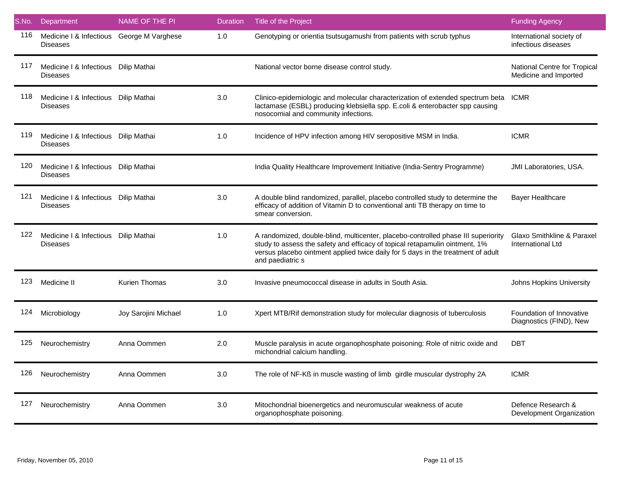| S.No. | Department                                                   | <b>NAME OF THE PI</b> | <b>Duration</b> | Title of the Project                                                                                                                                                                                                                                                     | <b>Funding Agency</b>                                 |
|-------|--------------------------------------------------------------|-----------------------|-----------------|--------------------------------------------------------------------------------------------------------------------------------------------------------------------------------------------------------------------------------------------------------------------------|-------------------------------------------------------|
| 116   | Medicine I & Infectious George M Varghese<br><b>Diseases</b> |                       | 1.0             | Genotyping or orientia tsutsugamushi from patients with scrub typhus                                                                                                                                                                                                     | International society of<br>infectious diseases       |
| 117   | Medicine I & Infectious Dilip Mathai<br><b>Diseases</b>      |                       |                 | National vector borne disease control study.                                                                                                                                                                                                                             | National Centre for Tropical<br>Medicine and Imported |
| 118   | Medicine I & Infectious Dilip Mathai<br><b>Diseases</b>      |                       | 3.0             | Clinico-epidemiologic and molecular characterization of extended spectrum beta ICMR<br>lactamase (ESBL) producing klebsiella spp. E.coli & enterobacter spp causing<br>nosocomial and community infections.                                                              |                                                       |
| 119   | Medicine I & Infectious Dilip Mathai<br><b>Diseases</b>      |                       | 1.0             | Incidence of HPV infection among HIV seropositive MSM in India.                                                                                                                                                                                                          | <b>ICMR</b>                                           |
| 120   | Medicine I & Infectious Dilip Mathai<br><b>Diseases</b>      |                       |                 | India Quality Healthcare Improvement Initiative (India-Sentry Programme)                                                                                                                                                                                                 | <b>JMI Laboratories, USA.</b>                         |
| 121   | Medicine I & Infectious Dilip Mathai<br><b>Diseases</b>      |                       | 3.0             | A double blind randomized, parallel, placebo controlled study to determine the<br>efficacy of addition of Vitamin D to conventional anti TB therapy on time to<br>smear conversion.                                                                                      | <b>Bayer Healthcare</b>                               |
| 122   | Medicine I & Infectious Dilip Mathai<br><b>Diseases</b>      |                       | 1.0             | A randomized, double-blind, multicenter, placebo-controlled phase III superiority<br>study to assess the safety and efficacy of topical retapamulin ointment, 1%<br>versus placebo ointment applied twice daily for 5 days in the treatment of adult<br>and paediatric s | Glaxo Smithkline & Paraxel<br>International Ltd       |
| 123   | Medicine II                                                  | <b>Kurien Thomas</b>  | 3.0             | Invasive pneumococcal disease in adults in South Asia.                                                                                                                                                                                                                   | Johns Hopkins University                              |
| 124   | Microbiology                                                 | Joy Sarojini Michael  | 1.0             | Xpert MTB/Rif demonstration study for molecular diagnosis of tuberculosis                                                                                                                                                                                                | Foundation of Innovative<br>Diagnostics (FIND), New   |
| 125   | Neurochemistry                                               | Anna Oommen           | 2.0             | Muscle paralysis in acute organophosphate poisoning: Role of nitric oxide and<br>michondrial calcium handling.                                                                                                                                                           | <b>DBT</b>                                            |
| 126   | Neurochemistry                                               | Anna Oommen           | 3.0             | The role of NF-Kß in muscle wasting of limb girdle muscular dystrophy 2A                                                                                                                                                                                                 | <b>ICMR</b>                                           |
| 127   | Neurochemistry                                               | Anna Oommen           | 3.0             | Mitochondrial bioenergetics and neuromuscular weakness of acute<br>organophosphate poisoning.                                                                                                                                                                            | Defence Research &<br>Development Organization        |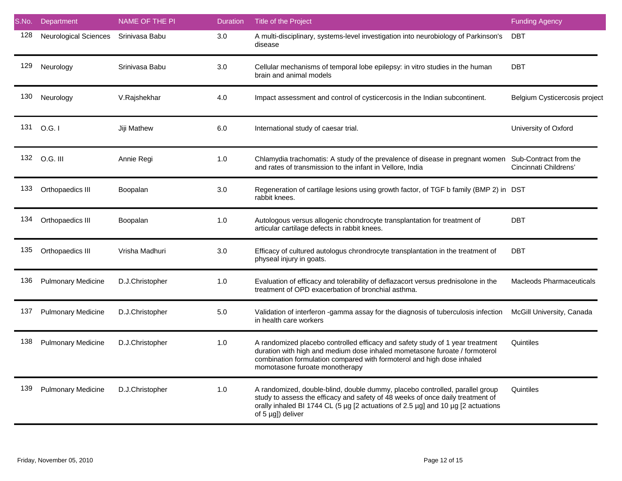| S.No. | Department                   | NAME OF THE PI  | <b>Duration</b> | Title of the Project                                                                                                                                                                                                                                                    | <b>Funding Agency</b>           |
|-------|------------------------------|-----------------|-----------------|-------------------------------------------------------------------------------------------------------------------------------------------------------------------------------------------------------------------------------------------------------------------------|---------------------------------|
| 128   | <b>Neurological Sciences</b> | Srinivasa Babu  | 3.0             | A multi-disciplinary, systems-level investigation into neurobiology of Parkinson's<br>disease                                                                                                                                                                           | <b>DBT</b>                      |
| 129   | Neurology                    | Srinivasa Babu  | 3.0             | Cellular mechanisms of temporal lobe epilepsy: in vitro studies in the human<br>brain and animal models                                                                                                                                                                 | <b>DBT</b>                      |
| 130   | Neurology                    | V.Rajshekhar    | 4.0             | Impact assessment and control of cysticercosis in the Indian subcontinent.                                                                                                                                                                                              | Belgium Cysticercosis project   |
|       | 131 O.G. I                   | Jiji Mathew     | 6.0             | International study of caesar trial.                                                                                                                                                                                                                                    | University of Oxford            |
|       | 132 O.G. III                 | Annie Regi      | 1.0             | Chlamydia trachomatis: A study of the prevalence of disease in pregnant women Sub-Contract from the<br>and rates of transmission to the infant in Vellore, India                                                                                                        | Cincinnati Childrens'           |
| 133   | Orthopaedics III             | Boopalan        | 3.0             | Regeneration of cartilage lesions using growth factor, of TGF b family (BMP 2) in DST<br>rabbit knees.                                                                                                                                                                  |                                 |
| 134   | Orthopaedics III             | Boopalan        | 1.0             | Autologous versus allogenic chondrocyte transplantation for treatment of<br>articular cartilage defects in rabbit knees.                                                                                                                                                | <b>DBT</b>                      |
| 135   | Orthopaedics III             | Vrisha Madhuri  | 3.0             | Efficacy of cultured autologus chrondrocyte transplantation in the treatment of<br>physeal injury in goats.                                                                                                                                                             | <b>DBT</b>                      |
| 136   | <b>Pulmonary Medicine</b>    | D.J.Christopher | 1.0             | Evaluation of efficacy and tolerability of deflazacort versus prednisolone in the<br>treatment of OPD exacerbation of bronchial asthma.                                                                                                                                 | <b>Macleods Pharmaceuticals</b> |
| 137   | <b>Pulmonary Medicine</b>    | D.J.Christopher | 5.0             | Validation of interferon -gamma assay for the diagnosis of tuberculosis infection<br>in health care workers                                                                                                                                                             | McGill University, Canada       |
| 138   | <b>Pulmonary Medicine</b>    | D.J.Christopher | 1.0             | A randomized placebo controlled efficacy and safety study of 1 year treatment<br>duration with high and medium dose inhaled mometasone furoate / formoterol<br>combination formulation compared with formoterol and high dose inhaled<br>momotasone furoate monotherapy | Quintiles                       |
| 139   | <b>Pulmonary Medicine</b>    | D.J.Christopher | 1.0             | A randomized, double-blind, double dummy, placebo controlled, parallel group<br>study to assess the efficacy and safety of 48 weeks of once daily treatment of<br>orally inhaled BI 1744 CL (5 µg [2 actuations of 2.5 µg] and 10 µg [2 actuations<br>of 5 µg]) deliver | Quintiles                       |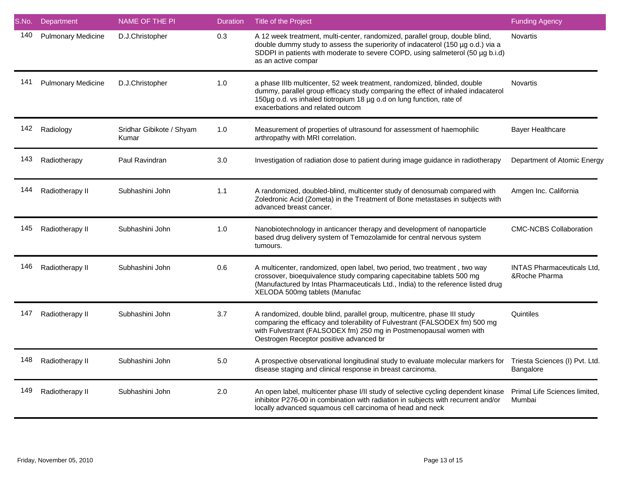| S.No. | Department                | <b>NAME OF THE PI</b>             | <b>Duration</b> | Title of the Project                                                                                                                                                                                                                                                     | <b>Funding Agency</b>                              |
|-------|---------------------------|-----------------------------------|-----------------|--------------------------------------------------------------------------------------------------------------------------------------------------------------------------------------------------------------------------------------------------------------------------|----------------------------------------------------|
| 140   | <b>Pulmonary Medicine</b> | D.J.Christopher                   | 0.3             | A 12 week treatment, multi-center, randomized, parallel group, double blind,<br>double dummy study to assess the superiority of indacaterol (150 µg o.d.) via a<br>SDDPI in patients with moderate to severe COPD, using salmeterol (50 µg b.i.d)<br>as an active compar | <b>Novartis</b>                                    |
| 141   | <b>Pulmonary Medicine</b> | D.J.Christopher                   | 1.0             | a phase IIIb multicenter, 52 week treatment, randomized, blinded, double<br>dummy, parallel group efficacy study comparing the effect of inhaled indacaterol<br>150µg o.d. vs inhaled tiotropium 18 µg o.d on lung function, rate of<br>exacerbations and related outcom | <b>Novartis</b>                                    |
| 142   | Radiology                 | Sridhar Gibikote / Shyam<br>Kumar | 1.0             | Measurement of properties of ultrasound for assessment of haemophilic<br>arthropathy with MRI correlation.                                                                                                                                                               | <b>Bayer Healthcare</b>                            |
| 143   | Radiotherapy              | Paul Ravindran                    | 3.0             | Investigation of radiation dose to patient during image guidance in radiotherapy                                                                                                                                                                                         | Department of Atomic Energy                        |
| 144   | Radiotherapy II           | Subhashini John                   | 1.1             | A randomized, doubled-blind, multicenter study of denosumab compared with<br>Zoledronic Acid (Zometa) in the Treatment of Bone metastases in subjects with<br>advanced breast cancer.                                                                                    | Amgen Inc. California                              |
| 145   | Radiotherapy II           | Subhashini John                   | 1.0             | Nanobiotechnology in anticancer therapy and development of nanoparticle<br>based drug delivery system of Temozolamide for central nervous system<br>tumours.                                                                                                             | <b>CMC-NCBS Collaboration</b>                      |
| 146   | Radiotherapy II           | Subhashini John                   | 0.6             | A multicenter, randomized, open label, two period, two treatment, two way<br>crossover, bioequivalence study comparing capecitabine tablets 500 mg<br>(Manufactured by Intas Pharmaceuticals Ltd., India) to the reference listed drug<br>XELODA 500mg tablets (Manufac  | <b>INTAS Pharmaceuticals Ltd,</b><br>&Roche Pharma |
| 147   | Radiotherapy II           | Subhashini John                   | 3.7             | A randomized, double blind, parallel group, multicentre, phase III study<br>comparing the efficacy and tolerability of Fulvestrant (FALSODEX fm) 500 mg<br>with Fulvestrant (FALSODEX fm) 250 mg in Postmenopausal women with<br>Oestrogen Receptor positive advanced br | Quintiles                                          |
| 148   | Radiotherapy II           | Subhashini John                   | 5.0             | A prospective observational longitudinal study to evaluate molecular markers for<br>disease staging and clinical response in breast carcinoma.                                                                                                                           | Triesta Sciences (I) Pvt. Ltd.<br>Bangalore        |
| 149   | Radiotherapy II           | Subhashini John                   | 2.0             | An open label, multicenter phase I/II study of selective cycling dependent kinase<br>inhibitor P276-00 in combination with radiation in subjects with recurrent and/or<br>locally advanced squamous cell carcinoma of head and neck                                      | Primal Life Sciences limited,<br>Mumbai            |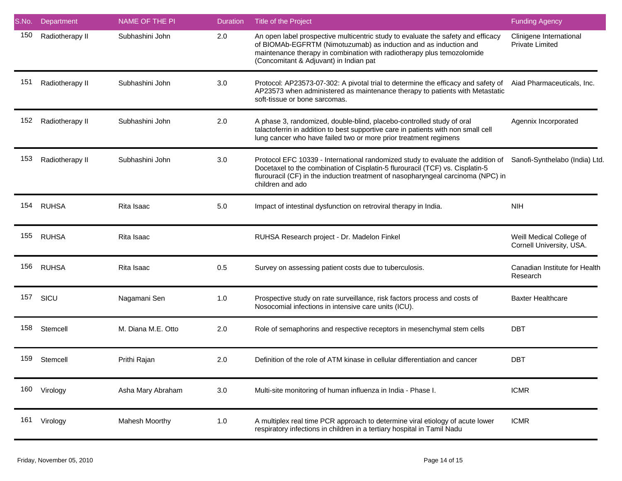| S.No. | Department      | <b>NAME OF THE PI</b> | <b>Duration</b> | Title of the Project                                                                                                                                                                                                                                                     | <b>Funding Agency</b>                                |
|-------|-----------------|-----------------------|-----------------|--------------------------------------------------------------------------------------------------------------------------------------------------------------------------------------------------------------------------------------------------------------------------|------------------------------------------------------|
| 150   | Radiotherapy II | Subhashini John       | 2.0             | An open label prospective multicentric study to evaluate the safety and efficacy<br>of BIOMAb-EGFRTM (Nimotuzumab) as induction and as induction and<br>maintenance therapy in combination with radiotherapy plus temozolomide<br>(Concomitant & Adjuvant) in Indian pat | Clinigene International<br><b>Private Limited</b>    |
| 151   | Radiotherapy II | Subhashini John       | 3.0             | Protocol: AP23573-07-302: A pivotal trial to determine the efficacy and safety of<br>AP23573 when administered as maintenance therapy to patients with Metastatic<br>soft-tissue or bone sarcomas.                                                                       | Aiad Pharmaceuticals, Inc.                           |
| 152   | Radiotherapy II | Subhashini John       | 2.0             | A phase 3, randomized, double-blind, placebo-controlled study of oral<br>talactoferrin in addition to best supportive care in patients with non small cell<br>lung cancer who have failed two or more prior treatment regimens                                           | Agennix Incorporated                                 |
| 153   | Radiotherapy II | Subhashini John       | 3.0             | Protocol EFC 10339 - International randomized study to evaluate the addition of<br>Docetaxel to the combination of Cisplatin-5 flurouracil (TCF) vs. Cisplatin-5<br>flurouracil (CF) in the induction treatment of nasopharyngeal carcinoma (NPC) in<br>children and ado | Sanofi-Synthelabo (India) Ltd.                       |
| 154   | <b>RUHSA</b>    | Rita Isaac            | $5.0$           | Impact of intestinal dysfunction on retroviral therapy in India.                                                                                                                                                                                                         | <b>NIH</b>                                           |
| 155   | <b>RUHSA</b>    | Rita Isaac            |                 | RUHSA Research project - Dr. Madelon Finkel                                                                                                                                                                                                                              | Weill Medical College of<br>Cornell University, USA. |
| 156   | <b>RUHSA</b>    | Rita Isaac            | 0.5             | Survey on assessing patient costs due to tuberculosis.                                                                                                                                                                                                                   | Canadian Institute for Health<br>Research            |
| 157   | SICU            | Nagamani Sen          | 1.0             | Prospective study on rate surveillance, risk factors process and costs of<br>Nosocomial infections in intensive care units (ICU).                                                                                                                                        | <b>Baxter Healthcare</b>                             |
| 158   | Stemcell        | M. Diana M.E. Otto    | 2.0             | Role of semaphorins and respective receptors in mesenchymal stem cells                                                                                                                                                                                                   | <b>DBT</b>                                           |
| 159   | Stemcell        | Prithi Rajan          | 2.0             | Definition of the role of ATM kinase in cellular differentiation and cancer                                                                                                                                                                                              | <b>DBT</b>                                           |
| 160   | Virology        | Asha Mary Abraham     | 3.0             | Multi-site monitoring of human influenza in India - Phase I.                                                                                                                                                                                                             | <b>ICMR</b>                                          |
| 161   | Virology        | <b>Mahesh Moorthy</b> | 1.0             | A multiplex real time PCR approach to determine viral etiology of acute lower<br>respiratory infections in children in a tertiary hospital in Tamil Nadu                                                                                                                 | <b>ICMR</b>                                          |